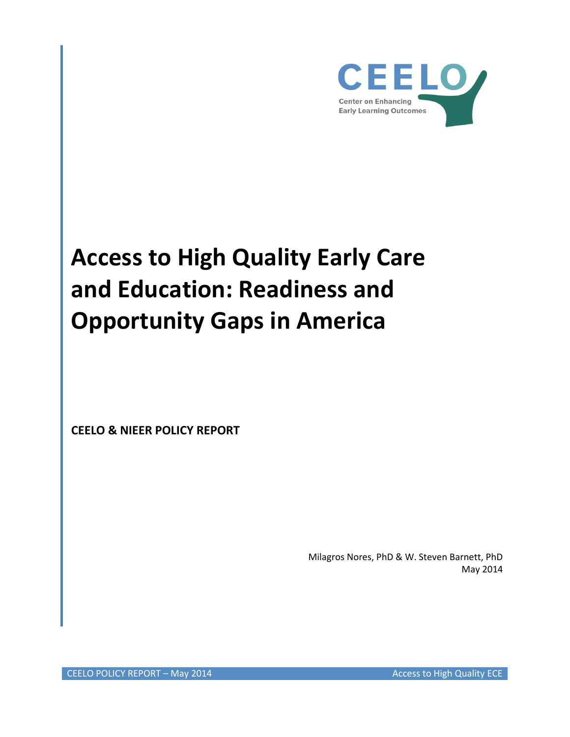

# **Access to High Quality Early Care and Education: Readiness and Opportunity Gaps in America**

**CEELO & NIEER POLICY REPORT**

Milagros Nores, PhD & W. Steven Barnett, PhD May 2014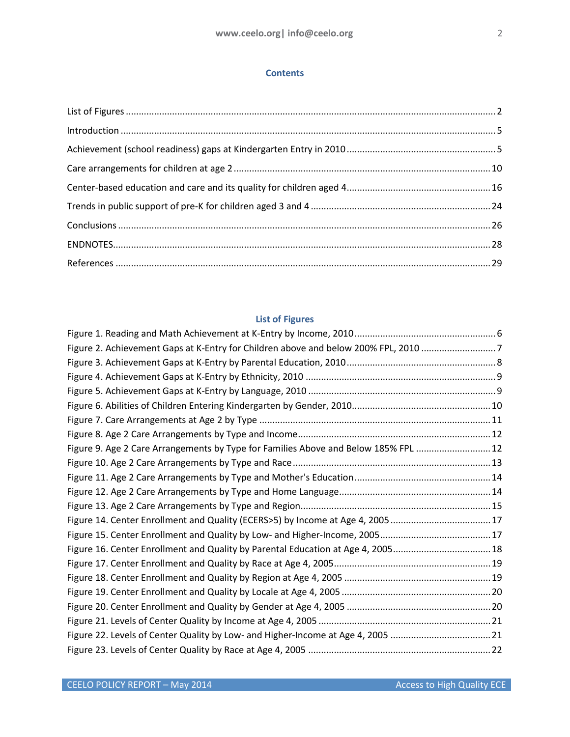## **Contents**

# **List of Figures**

<span id="page-1-0"></span>

| Figure 2. Achievement Gaps at K-Entry for Children above and below 200% FPL, 2010 7 |  |
|-------------------------------------------------------------------------------------|--|
|                                                                                     |  |
|                                                                                     |  |
|                                                                                     |  |
|                                                                                     |  |
|                                                                                     |  |
|                                                                                     |  |
| Figure 9. Age 2 Care Arrangements by Type for Families Above and Below 185% FPL  12 |  |
|                                                                                     |  |
|                                                                                     |  |
|                                                                                     |  |
|                                                                                     |  |
|                                                                                     |  |
|                                                                                     |  |
| Figure 16. Center Enrollment and Quality by Parental Education at Age 4, 200518     |  |
|                                                                                     |  |
|                                                                                     |  |
|                                                                                     |  |
|                                                                                     |  |
|                                                                                     |  |
|                                                                                     |  |
|                                                                                     |  |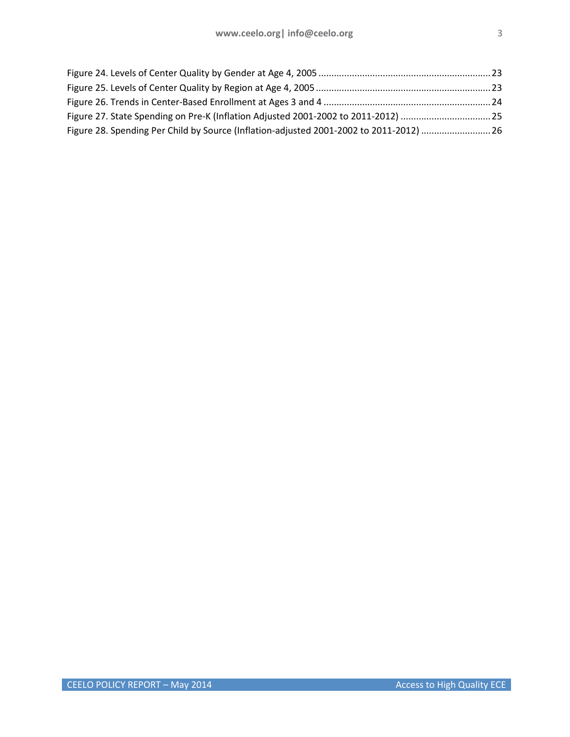| Figure 28. Spending Per Child by Source (Inflation-adjusted 2001-2002 to 2011-2012) 26 |  |
|----------------------------------------------------------------------------------------|--|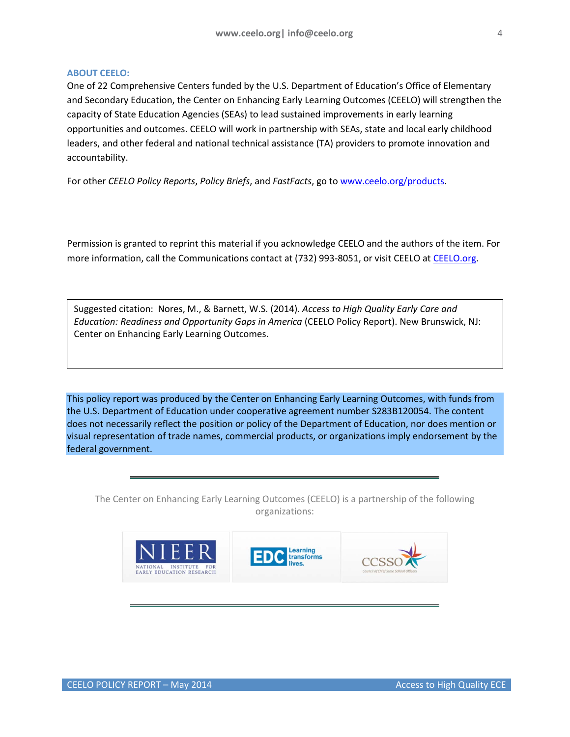## **ABOUT CEELO:**

One of 22 Comprehensive Centers funded by the U.S. Department of Education's Office of Elementary and Secondary Education, the Center on Enhancing Early Learning Outcomes (CEELO) will strengthen the capacity of State Education Agencies (SEAs) to lead sustained improvements in early learning opportunities and outcomes. CEELO will work in partnership with SEAs, state and local early childhood leaders, and other federal and national technical assistance (TA) providers to promote innovation and accountability.

For other *CEELO Policy Reports*, *Policy Briefs*, and *FastFacts*, go t[o www.ceelo.org/products.](http://www.ceelo.org/products)

Permission is granted to reprint this material if you acknowledge CEELO and the authors of the item. For more information, call the Communications contact at (732) 993-8051, or visit CEELO a[t CEELO.org.](http://www.ceelo.org/)

Suggested citation: Nores, M., & Barnett, W.S. (2014). *Access to High Quality Early Care and Education: Readiness and Opportunity Gaps in America* (CEELO Policy Report). New Brunswick, NJ: Center on Enhancing Early Learning Outcomes.

This policy report was produced by the Center on Enhancing Early Learning Outcomes, with funds from the U.S. Department of Education under cooperative agreement number S283B120054. The content does not necessarily reflect the position or policy of the Department of Education, nor does mention or visual representation of trade names, commercial products, or organizations imply endorsement by the federal government.

The Center on Enhancing Early Learning Outcomes (CEELO) is a partnership of the following organizations:

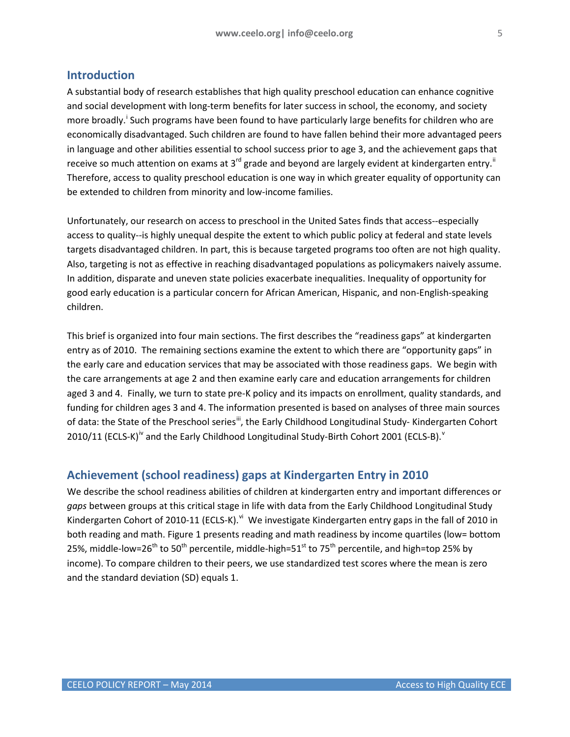## <span id="page-4-0"></span>**Introduction**

A substantial body of research establishes that high quality preschool education can enhance cognitive and social development with long-term benefits for later success in school, the economy, and society more broadly.<sup>[i](#page-27-1)</sup> Such programs have been found to have particularly large benefits for children who are economically disadvantaged. Such children are found to have fallen behind their more advantaged peers in language and other abilities essential to school success prior to age 3, and the achievement gaps that receive so much attention on exams at 3<sup>rd</sup> grade and beyond are largely evident at kindergarten entry.<sup>"</sup> Therefore, access to quality preschool education is one way in which greater equality of opportunity can be extended to children from minority and low-income families.

Unfortunately, our research on access to preschool in the United Sates finds that access--especially access to quality--is highly unequal despite the extent to which public policy at federal and state levels targets disadvantaged children. In part, this is because targeted programs too often are not high quality. Also, targeting is not as effective in reaching disadvantaged populations as policymakers naively assume. In addition, disparate and uneven state policies exacerbate inequalities. Inequality of opportunity for good early education is a particular concern for African American, Hispanic, and non-English-speaking children.

This brief is organized into four main sections. The first describes the "readiness gaps" at kindergarten entry as of 2010. The remaining sections examine the extent to which there are "opportunity gaps" in the early care and education services that may be associated with those readiness gaps. We begin with the care arrangements at age 2 and then examine early care and education arrangements for children aged 3 and 4. Finally, we turn to state pre-K policy and its impacts on enrollment, quality standards, and funding for children ages 3 and 4. The information presented is based on analyses of three main sources of data: the State of the Preschool series<sup>iii</sup>, the Early Childhood Longitudinal Study- Kindergarten Cohort  $2010/11$  (ECLS-K)<sup>[iv](#page-27-4)</sup> and the Early Childhood Longitudinal Study-Birth Cohort 2001 (ECLS-B).<sup>[v](#page-27-5)</sup>

# <span id="page-4-1"></span>**Achievement (school readiness) gaps at Kindergarten Entry in 2010**

We describe the school readiness abilities of children at kindergarten entry and important differences or *gaps* between groups at this critical stage in life with data from the Early Childhood Longitudinal Study Kindergarten Cohort of 2010-11 (ECLS-K). Vi We investigate Kindergarten entry gaps in the fall of 2010 in both reading and math. Figure 1 presents reading and math readiness by income quartiles (low= bottom 25%, middle-low=26<sup>th</sup> to 50<sup>th</sup> percentile, middle-high=51<sup>st</sup> to 75<sup>th</sup> percentile, and high=top 25% by income). To compare children to their peers, we use standardized test scores where the mean is zero and the standard deviation (SD) equals 1.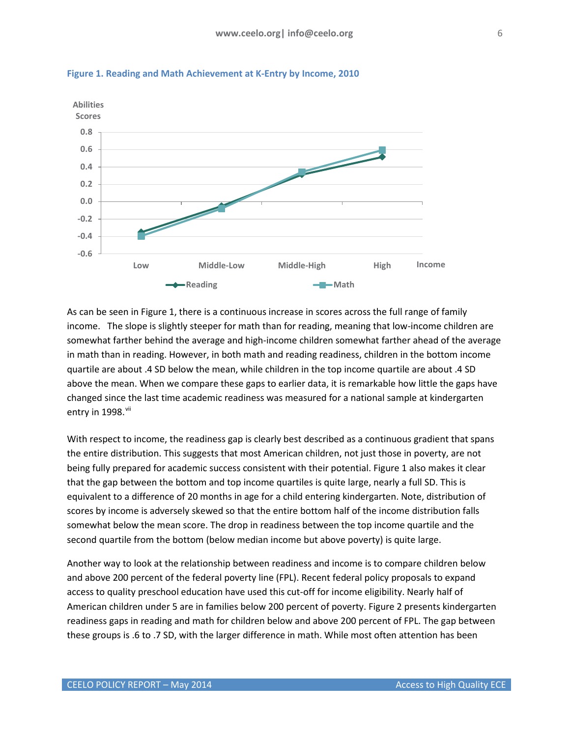

<span id="page-5-0"></span>**Figure 1. Reading and Math Achievement at K-Entry by Income, 2010**

As can be seen in Figure 1, there is a continuous increase in scores across the full range of family income. The slope is slightly steeper for math than for reading, meaning that low-income children are somewhat farther behind the average and high-income children somewhat farther ahead of the average in math than in reading. However, in both math and reading readiness, children in the bottom income quartile are about .4 SD below the mean, while children in the top income quartile are about .4 SD above the mean. When we compare these gaps to earlier data, it is remarkable how little the gaps have changed since the last time academic readiness was measured for a national sample at kindergarten entry in  $1998$ . $\mathrm{vii}$ 

With respect to income, the readiness gap is clearly best described as a continuous gradient that spans the entire distribution. This suggests that most American children, not just those in poverty, are not being fully prepared for academic success consistent with their potential. Figure 1 also makes it clear that the gap between the bottom and top income quartiles is quite large, nearly a full SD. This is equivalent to a difference of 20 months in age for a child entering kindergarten. Note, distribution of scores by income is adversely skewed so that the entire bottom half of the income distribution falls somewhat below the mean score. The drop in readiness between the top income quartile and the second quartile from the bottom (below median income but above poverty) is quite large.

Another way to look at the relationship between readiness and income is to compare children below and above 200 percent of the federal poverty line (FPL). Recent federal policy proposals to expand access to quality preschool education have used this cut-off for income eligibility. Nearly half of American children under 5 are in families below 200 percent of poverty. Figure 2 presents kindergarten readiness gaps in reading and math for children below and above 200 percent of FPL. The gap between these groups is .6 to .7 SD, with the larger difference in math. While most often attention has been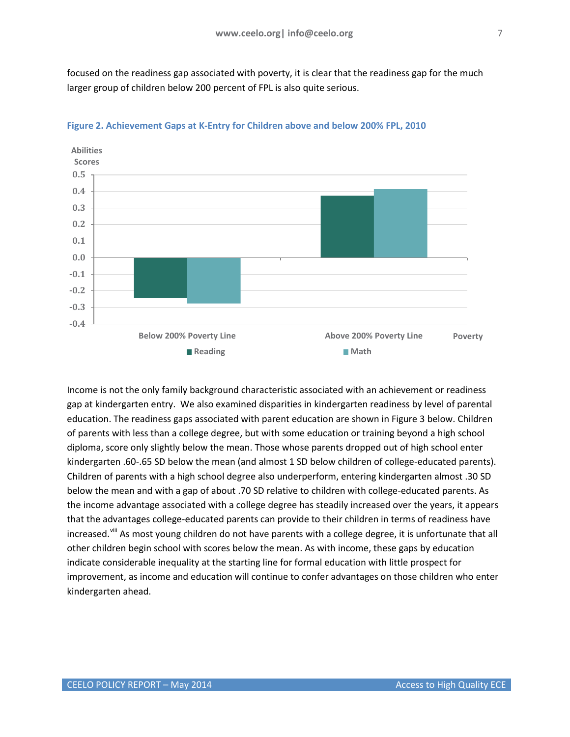focused on the readiness gap associated with poverty, it is clear that the readiness gap for the much larger group of children below 200 percent of FPL is also quite serious.



## <span id="page-6-0"></span>**Figure 2. Achievement Gaps at K-Entry for Children above and below 200% FPL, 2010**

Income is not the only family background characteristic associated with an achievement or readiness gap at kindergarten entry. We also examined disparities in kindergarten readiness by level of parental education. The readiness gaps associated with parent education are shown in Figure 3 below. Children of parents with less than a college degree, but with some education or training beyond a high school diploma, score only slightly below the mean. Those whose parents dropped out of high school enter kindergarten .60-.65 SD below the mean (and almost 1 SD below children of college-educated parents). Children of parents with a high school degree also underperform, entering kindergarten almost .30 SD below the mean and with a gap of about .70 SD relative to children with college-educated parents. As the income advantage associated with a college degree has steadily increased over the years, it appears that the advantages college-educated parents can provide to their children in terms of readiness have increased.<sup>[viii](#page-27-8)</sup> As most young children do not have parents with a college degree, it is unfortunate that all other children begin school with scores below the mean. As with income, these gaps by education indicate considerable inequality at the starting line for formal education with little prospect for improvement, as income and education will continue to confer advantages on those children who enter kindergarten ahead.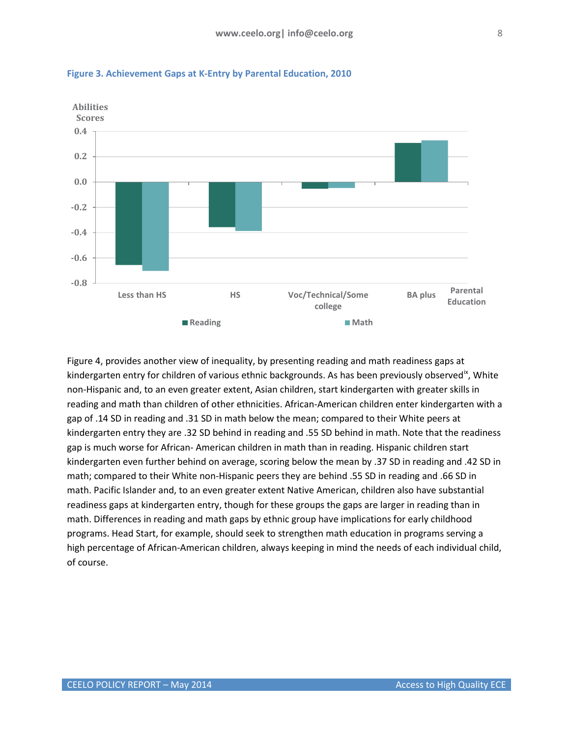

<span id="page-7-0"></span>**Figure 3. Achievement Gaps at K-Entry by Parental Education, 2010**

Figure 4, provides another view of inequality, by presenting reading and math readiness gaps at kindergarten entry for children of various ethnic backgrounds. As has been previously observed<sup>18</sup>, White non-Hispanic and, to an even greater extent, Asian children, start kindergarten with greater skills in reading and math than children of other ethnicities. African-American children enter kindergarten with a gap of .14 SD in reading and .31 SD in math below the mean; compared to their White peers at kindergarten entry they are .32 SD behind in reading and .55 SD behind in math. Note that the readiness gap is much worse for African- American children in math than in reading. Hispanic children start kindergarten even further behind on average, scoring below the mean by .37 SD in reading and .42 SD in math; compared to their White non-Hispanic peers they are behind .55 SD in reading and .66 SD in math. Pacific Islander and, to an even greater extent Native American, children also have substantial readiness gaps at kindergarten entry, though for these groups the gaps are larger in reading than in math. Differences in reading and math gaps by ethnic group have implications for early childhood programs. Head Start, for example, should seek to strengthen math education in programs serving a high percentage of African-American children, always keeping in mind the needs of each individual child, of course.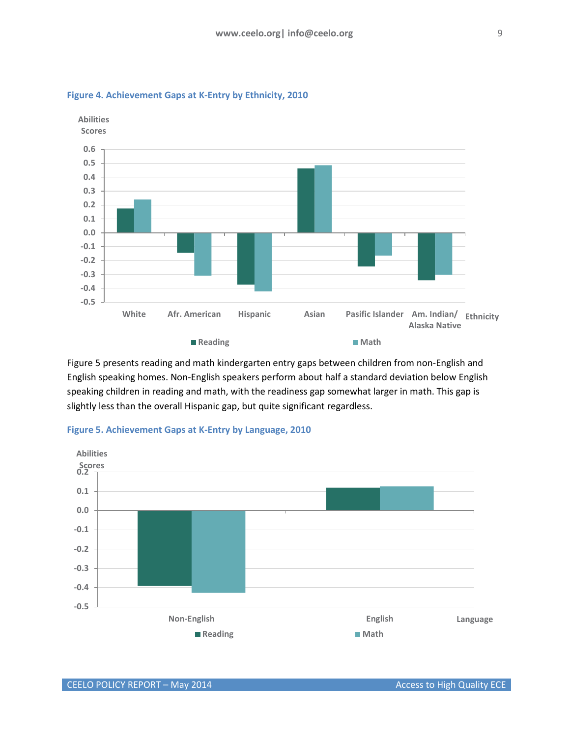

## <span id="page-8-0"></span>**Figure 4. Achievement Gaps at K-Entry by Ethnicity, 2010**

Figure 5 presents reading and math kindergarten entry gaps between children from non-English and English speaking homes. Non-English speakers perform about half a standard deviation below English speaking children in reading and math, with the readiness gap somewhat larger in math. This gap is slightly less than the overall Hispanic gap, but quite significant regardless.



#### <span id="page-8-1"></span>**Figure 5. Achievement Gaps at K-Entry by Language, 2010**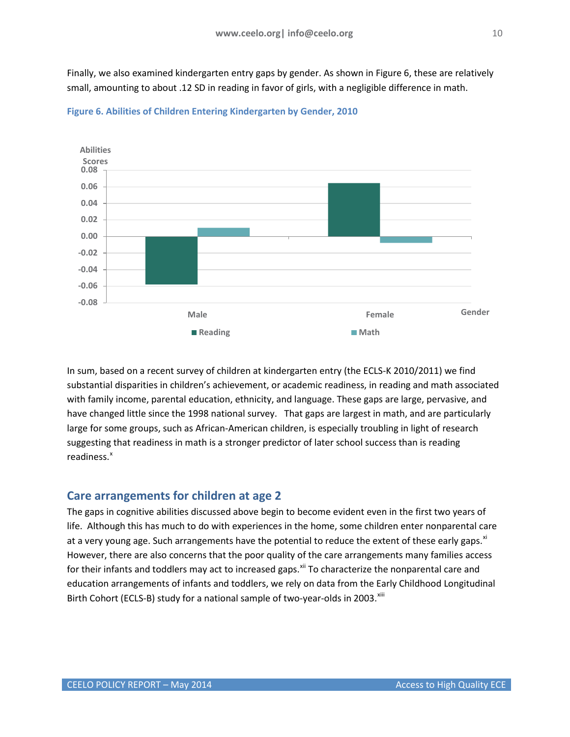Finally, we also examined kindergarten entry gaps by gender. As shown in Figure 6, these are relatively small, amounting to about .12 SD in reading in favor of girls, with a negligible difference in math.



<span id="page-9-1"></span>

In sum, based on a recent survey of children at kindergarten entry (the ECLS-K 2010/2011) we find substantial disparities in children's achievement, or academic readiness, in reading and math associated with family income, parental education, ethnicity, and language. These gaps are large, pervasive, and have changed little since the 1998 national survey. That gaps are largest in math, and are particularly large for some groups, such as African-American children, is especially troubling in light of research suggesting that readiness in math is a stronger predictor of later school success than is reading readiness.<sup>[x](#page-27-10)</sup>

# <span id="page-9-0"></span>**Care arrangements for children at age 2**

The gaps in cognitive abilities discussed above begin to become evident even in the first two years of life. Although this has much to do with experiences in the home, some children enter nonparental care at a very young age. Such arrangements have the potential to reduce the extent of these early gaps.<sup>[xi](#page-27-11)</sup> However, there are also concerns that the poor quality of the care arrangements many families access for their infants and toddlers may act to increased gaps.<sup>[xii](#page-27-12)</sup> To characterize the nonparental care and education arrangements of infants and toddlers, we rely on data from the Early Childhood Longitudinal Birth Cohort (ECLS-B) study for a national sample of two-year-olds in 2003. Xili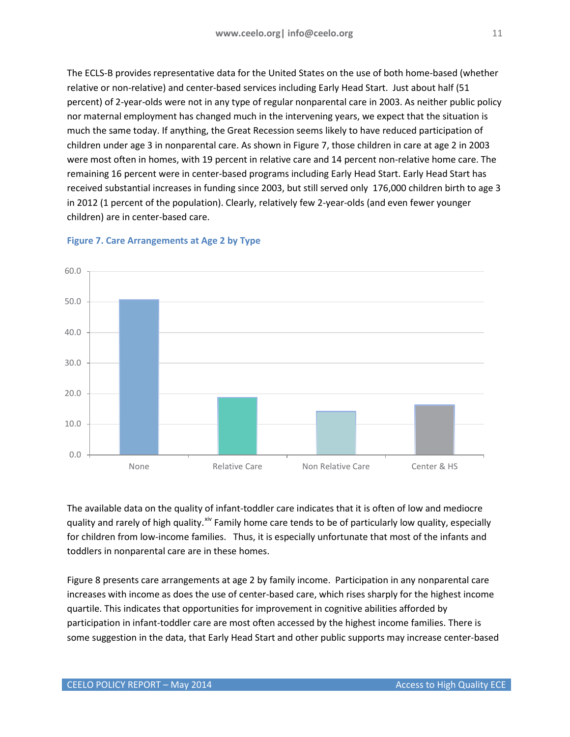The ECLS-B provides representative data for the United States on the use of both home-based (whether relative or non-relative) and center-based services including Early Head Start. Just about half (51

percent) of 2-year-olds were not in any type of regular nonparental care in 2003. As neither public policy nor maternal employment has changed much in the intervening years, we expect that the situation is much the same today. If anything, the Great Recession seems likely to have reduced participation of children under age 3 in nonparental care. As shown in Figure 7, those children in care at age 2 in 2003 were most often in homes, with 19 percent in relative care and 14 percent non-relative home care. The remaining 16 percent were in center-based programs including Early Head Start. Early Head Start has received substantial increases in funding since 2003, but still served only 176,000 children birth to age 3 in 2012 (1 percent of the population). Clearly, relatively few 2-year-olds (and even fewer younger children) are in center-based care.



## <span id="page-10-0"></span>**Figure 7. Care Arrangements at Age 2 by Type**

The available data on the quality of infant-toddler care indicates that it is often of low and mediocre quality and rarely of high quality.<sup>[xiv](#page-27-14)</sup> Family home care tends to be of particularly low quality, especially for children from low-income families. Thus, it is especially unfortunate that most of the infants and toddlers in nonparental care are in these homes.

Figure 8 presents care arrangements at age 2 by family income. Participation in any nonparental care increases with income as does the use of center-based care, which rises sharply for the highest income quartile. This indicates that opportunities for improvement in cognitive abilities afforded by participation in infant-toddler care are most often accessed by the highest income families. There is some suggestion in the data, that Early Head Start and other public supports may increase center-based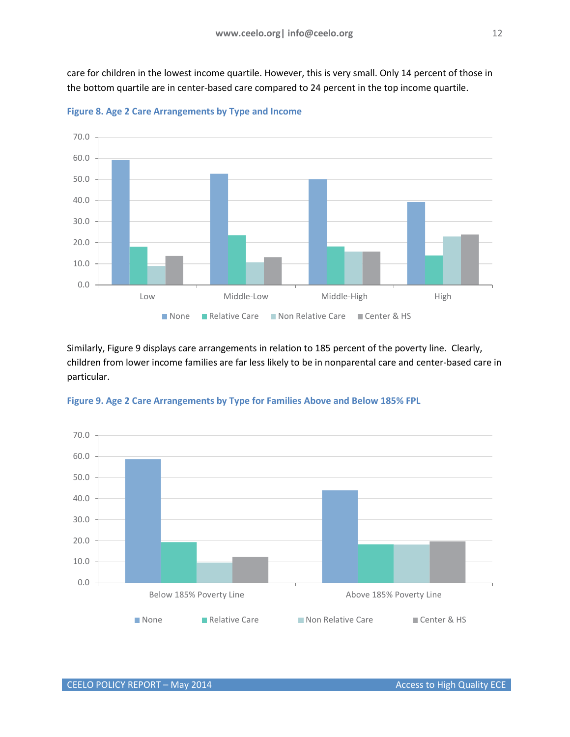care for children in the lowest income quartile. However, this is very small. Only 14 percent of those in the bottom quartile are in center-based care compared to 24 percent in the top income quartile.



<span id="page-11-0"></span>**Figure 8. Age 2 Care Arrangements by Type and Income**

Similarly, Figure 9 displays care arrangements in relation to 185 percent of the poverty line. Clearly, children from lower income families are far less likely to be in nonparental care and center-based care in particular.



<span id="page-11-1"></span>**Figure 9. Age 2 Care Arrangements by Type for Families Above and Below 185% FPL**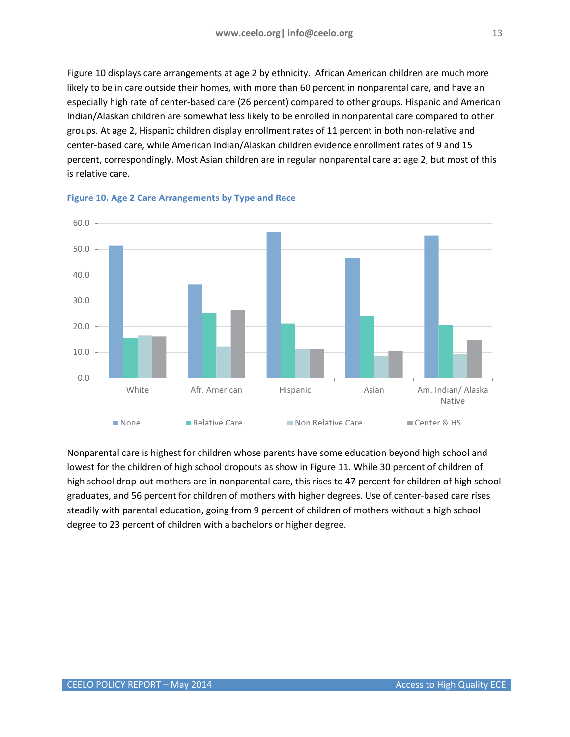Figure 10 displays care arrangements at age 2 by ethnicity. African American children are much more likely to be in care outside their homes, with more than 60 percent in nonparental care, and have an especially high rate of center-based care (26 percent) compared to other groups. Hispanic and American Indian/Alaskan children are somewhat less likely to be enrolled in nonparental care compared to other groups. At age 2, Hispanic children display enrollment rates of 11 percent in both non-relative and center-based care, while American Indian/Alaskan children evidence enrollment rates of 9 and 15 percent, correspondingly. Most Asian children are in regular nonparental care at age 2, but most of this is relative care.



## <span id="page-12-0"></span>**Figure 10. Age 2 Care Arrangements by Type and Race**

Nonparental care is highest for children whose parents have some education beyond high school and lowest for the children of high school dropouts as show in Figure 11. While 30 percent of children of high school drop-out mothers are in nonparental care, this rises to 47 percent for children of high school graduates, and 56 percent for children of mothers with higher degrees. Use of center-based care rises steadily with parental education, going from 9 percent of children of mothers without a high school degree to 23 percent of children with a bachelors or higher degree.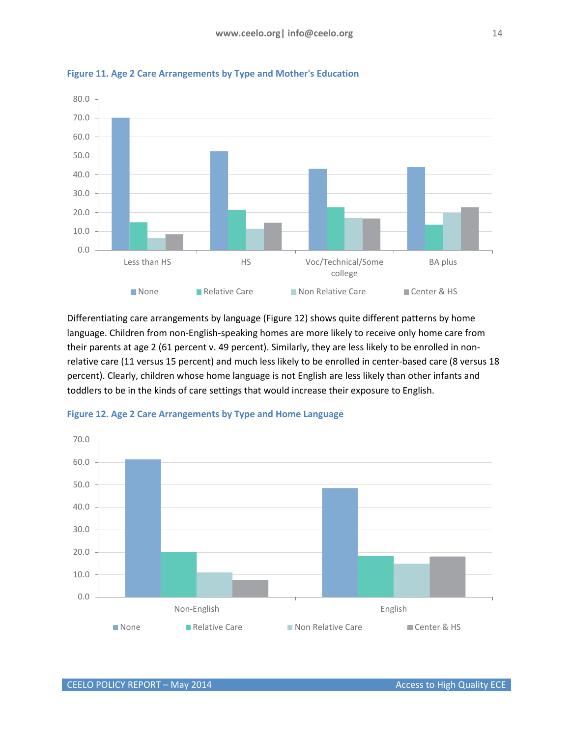

<span id="page-13-0"></span>**Figure 11. Age 2 Care Arrangements by Type and Mother's Education**

Differentiating care arrangements by language (Figure 12) shows quite different patterns by home language. Children from non-English-speaking homes are more likely to receive only home care from their parents at age 2 (61 percent v. 49 percent). Similarly, they are less likely to be enrolled in nonrelative care (11 versus 15 percent) and much less likely to be enrolled in center-based care (8 versus 18 percent). Clearly, children whose home language is not English are less likely than other infants and toddlers to be in the kinds of care settings that would increase their exposure to English.



<span id="page-13-1"></span>**Figure 12. Age 2 Care Arrangements by Type and Home Language**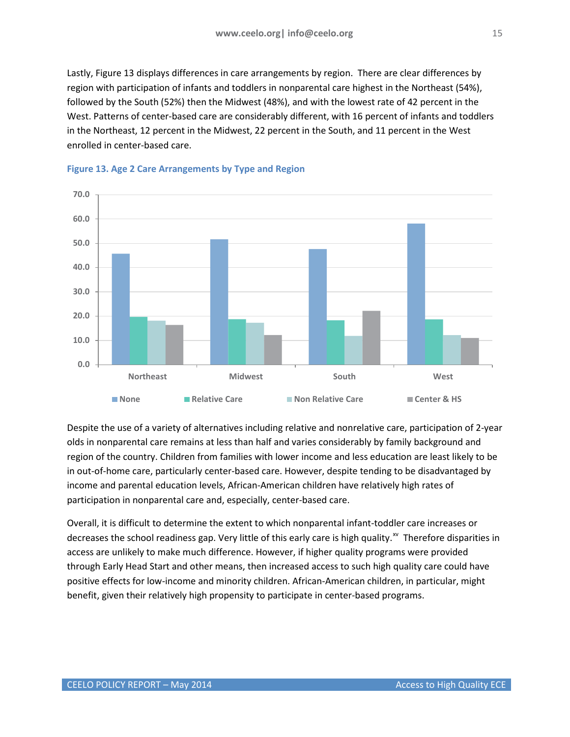Lastly, Figure 13 displays differences in care arrangements by region. There are clear differences by region with participation of infants and toddlers in nonparental care highest in the Northeast (54%), followed by the South (52%) then the Midwest (48%), and with the lowest rate of 42 percent in the West. Patterns of center-based care are considerably different, with 16 percent of infants and toddlers in the Northeast, 12 percent in the Midwest, 22 percent in the South, and 11 percent in the West enrolled in center-based care.



## <span id="page-14-0"></span>**Figure 13. Age 2 Care Arrangements by Type and Region**

Despite the use of a variety of alternatives including relative and nonrelative care, participation of 2-year olds in nonparental care remains at less than half and varies considerably by family background and region of the country. Children from families with lower income and less education are least likely to be in out-of-home care, particularly center-based care. However, despite tending to be disadvantaged by income and parental education levels, African-American children have relatively high rates of participation in nonparental care and, especially, center-based care.

Overall, it is difficult to determine the extent to which nonparental infant-toddler care increases or decreases the school readiness gap. Very little of this early care is high quality.<sup>[xv](#page-27-15)</sup> Therefore disparities in access are unlikely to make much difference. However, if higher quality programs were provided through Early Head Start and other means, then increased access to such high quality care could have positive effects for low-income and minority children. African-American children, in particular, might benefit, given their relatively high propensity to participate in center-based programs.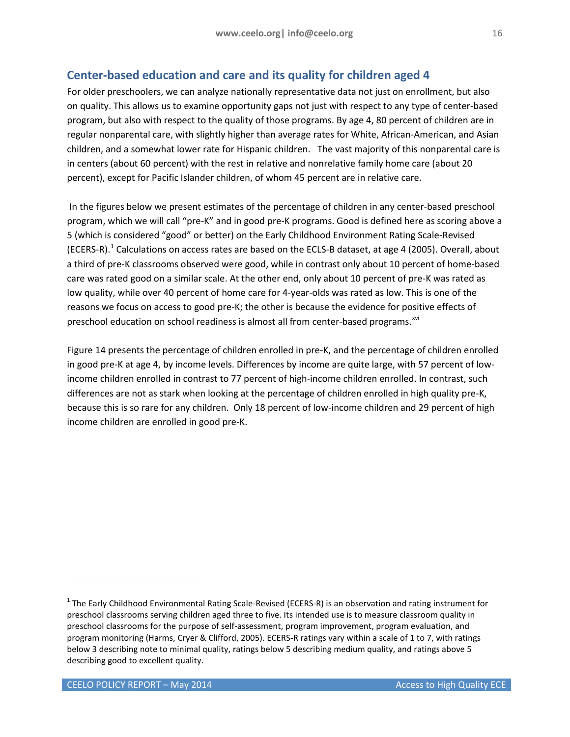# <span id="page-15-0"></span>**Center-based education and care and its quality for children aged 4**

For older preschoolers, we can analyze nationally representative data not just on enrollment, but also on quality. This allows us to examine opportunity gaps not just with respect to any type of center-based program, but also with respect to the quality of those programs. By age 4, 80 percent of children are in regular nonparental care, with slightly higher than average rates for White, African-American, and Asian children, and a somewhat lower rate for Hispanic children. The vast majority of this nonparental care is in centers (about 60 percent) with the rest in relative and nonrelative family home care (about 20 percent), except for Pacific Islander children, of whom 45 percent are in relative care.

In the figures below we present estimates of the percentage of children in any center-based preschool program, which we will call "pre-K" and in good pre-K programs. Good is defined here as scoring above a 5 (which is considered "good" or better) on the Early Childhood Environment Rating Scale-Revised (ECERS-R).<sup>[1](#page-15-1)</sup> Calculations on access rates are based on the ECLS-B dataset, at age 4 (2005). Overall, about a third of pre-K classrooms observed were good, while in contrast only about 10 percent of home-based care was rated good on a similar scale. At the other end, only about 10 percent of pre-K was rated as low quality, while over 40 percent of home care for 4-year-olds was rated as low. This is one of the reasons we focus on access to good pre-K; the other is because the evidence for positive effects of preschool education on school readiness is almost all from center-based programs.<sup>[xvi](#page-27-16)</sup>

Figure 14 presents the percentage of children enrolled in pre-K, and the percentage of children enrolled in good pre-K at age 4, by income levels. Differences by income are quite large, with 57 percent of lowincome children enrolled in contrast to 77 percent of high-income children enrolled. In contrast, such differences are not as stark when looking at the percentage of children enrolled in high quality pre-K, because this is so rare for any children. Only 18 percent of low-income children and 29 percent of high income children are enrolled in good pre-K.

j

<span id="page-15-1"></span> $1$  The Early Childhood Environmental Rating Scale-Revised (ECERS-R) is an observation and rating instrument for preschool classrooms serving children aged three to five. Its intended use is to measure classroom quality in preschool classrooms for the purpose of self-assessment, program improvement, program evaluation, and program monitoring (Harms, Cryer & Clifford, 2005). ECERS-R ratings vary within a scale of 1 to 7, with ratings below 3 describing note to minimal quality, ratings below 5 describing medium quality, and ratings above 5 describing good to excellent quality.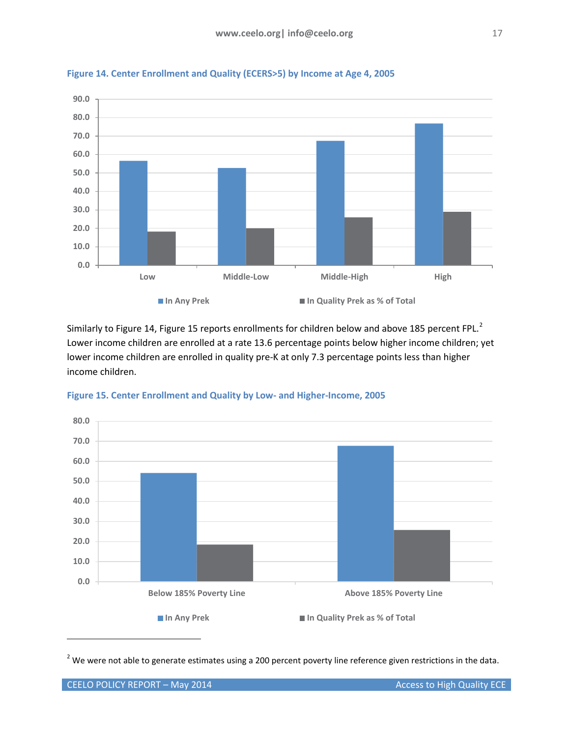

<span id="page-16-0"></span>**Figure 14. Center Enrollment and Quality (ECERS>5) by Income at Age 4, 2005**

Similarly to Figure 14, Figure 15 reports enrollments for children below and above 185 percent FPL.<sup>[2](#page-16-2)</sup> Lower income children are enrolled at a rate 13.6 percentage points below higher income children; yet lower income children are enrolled in quality pre-K at only 7.3 percentage points less than higher income children.



#### <span id="page-16-1"></span>**Figure 15. Center Enrollment and Quality by Low- and Higher-Income, 2005**

<span id="page-16-2"></span> $2$  We were not able to generate estimates using a 200 percent poverty line reference given restrictions in the data.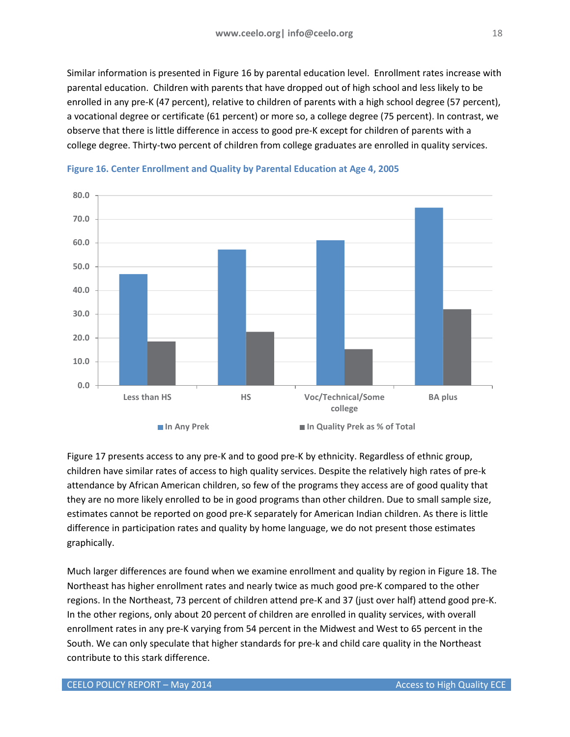Similar information is presented in Figure 16 by parental education level. Enrollment rates increase with parental education. Children with parents that have dropped out of high school and less likely to be enrolled in any pre-K (47 percent), relative to children of parents with a high school degree (57 percent), a vocational degree or certificate (61 percent) or more so, a college degree (75 percent). In contrast, we observe that there is little difference in access to good pre-K except for children of parents with a college degree. Thirty-two percent of children from college graduates are enrolled in quality services.



<span id="page-17-0"></span>

Figure 17 presents access to any pre-K and to good pre-K by ethnicity. Regardless of ethnic group, children have similar rates of access to high quality services. Despite the relatively high rates of pre-k attendance by African American children, so few of the programs they access are of good quality that they are no more likely enrolled to be in good programs than other children. Due to small sample size, estimates cannot be reported on good pre-K separately for American Indian children. As there is little difference in participation rates and quality by home language, we do not present those estimates graphically.

Much larger differences are found when we examine enrollment and quality by region in Figure 18. The Northeast has higher enrollment rates and nearly twice as much good pre-K compared to the other regions. In the Northeast, 73 percent of children attend pre-K and 37 (just over half) attend good pre-K. In the other regions, only about 20 percent of children are enrolled in quality services, with overall enrollment rates in any pre-K varying from 54 percent in the Midwest and West to 65 percent in the South. We can only speculate that higher standards for pre-k and child care quality in the Northeast contribute to this stark difference.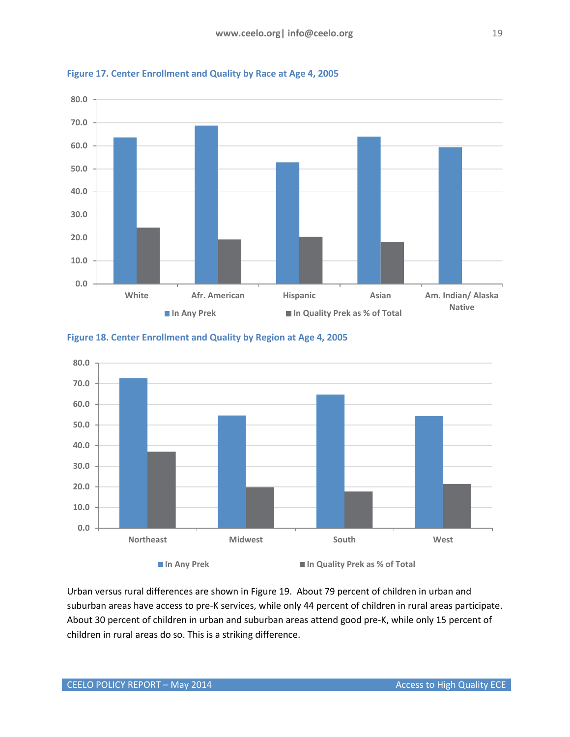

<span id="page-18-0"></span>

<span id="page-18-1"></span>



Urban versus rural differences are shown in Figure 19. About 79 percent of children in urban and suburban areas have access to pre-K services, while only 44 percent of children in rural areas participate. About 30 percent of children in urban and suburban areas attend good pre-K, while only 15 percent of children in rural areas do so. This is a striking difference.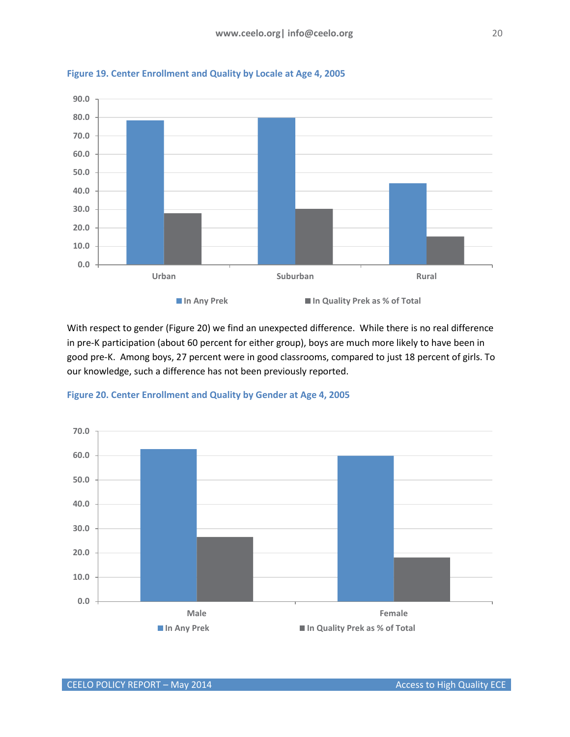

<span id="page-19-0"></span>**Figure 19. Center Enrollment and Quality by Locale at Age 4, 2005**

With respect to gender (Figure 20) we find an unexpected difference. While there is no real difference in pre-K participation (about 60 percent for either group), boys are much more likely to have been in good pre-K. Among boys, 27 percent were in good classrooms, compared to just 18 percent of girls. To our knowledge, such a difference has not been previously reported.



<span id="page-19-1"></span>**Figure 20. Center Enrollment and Quality by Gender at Age 4, 2005**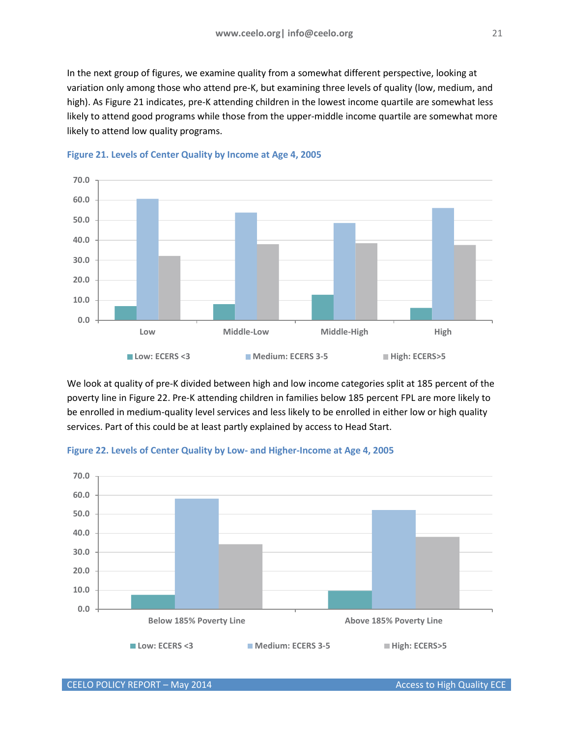In the next group of figures, we examine quality from a somewhat different perspective, looking at variation only among those who attend pre-K, but examining three levels of quality (low, medium, and high). As Figure 21 indicates, pre-K attending children in the lowest income quartile are somewhat less likely to attend good programs while those from the upper-middle income quartile are somewhat more likely to attend low quality programs.



<span id="page-20-0"></span>

We look at quality of pre-K divided between high and low income categories split at 185 percent of the poverty line in Figure 22. Pre-K attending children in families below 185 percent FPL are more likely to be enrolled in medium-quality level services and less likely to be enrolled in either low or high quality services. Part of this could be at least partly explained by access to Head Start.



<span id="page-20-1"></span>**Figure 22. Levels of Center Quality by Low- and Higher-Income at Age 4, 2005**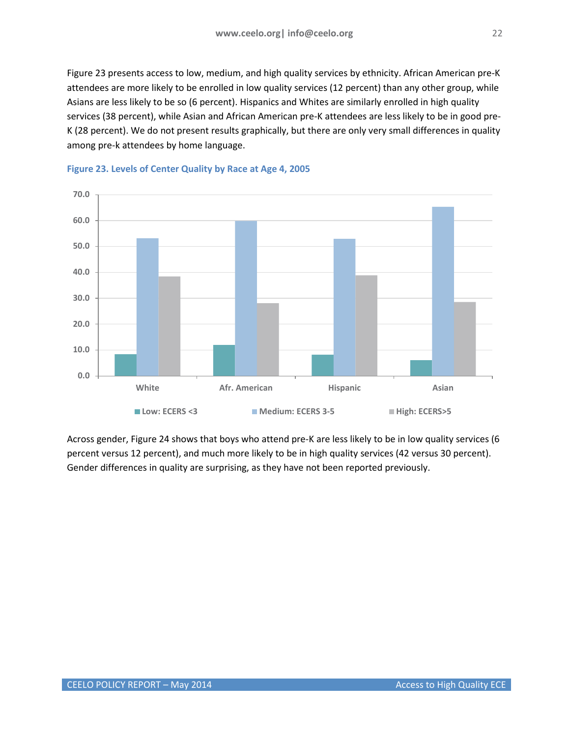Figure 23 presents access to low, medium, and high quality services by ethnicity. African American pre-K attendees are more likely to be enrolled in low quality services (12 percent) than any other group, while Asians are less likely to be so (6 percent). Hispanics and Whites are similarly enrolled in high quality services (38 percent), while Asian and African American pre-K attendees are less likely to be in good pre-K (28 percent). We do not present results graphically, but there are only very small differences in quality among pre-k attendees by home language.



<span id="page-21-0"></span>

Across gender, Figure 24 shows that boys who attend pre-K are less likely to be in low quality services (6 percent versus 12 percent), and much more likely to be in high quality services (42 versus 30 percent). Gender differences in quality are surprising, as they have not been reported previously.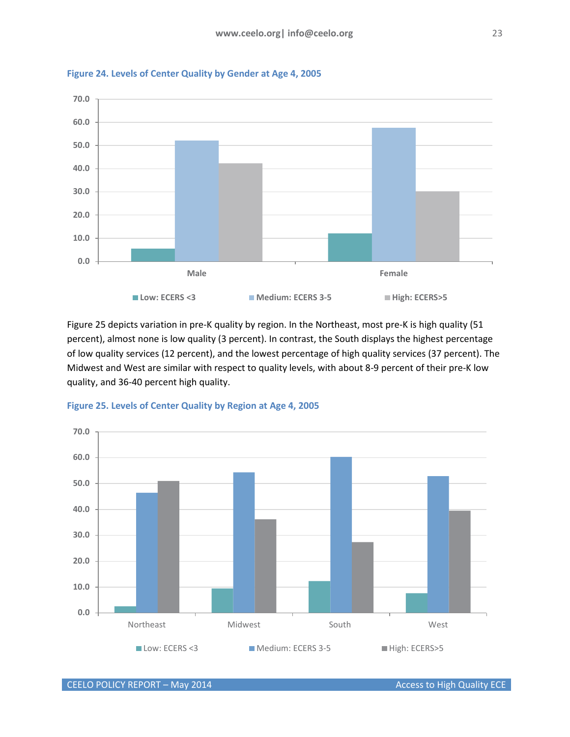

<span id="page-22-0"></span>**Figure 24. Levels of Center Quality by Gender at Age 4, 2005**

Figure 25 depicts variation in pre-K quality by region. In the Northeast, most pre-K is high quality (51 percent), almost none is low quality (3 percent). In contrast, the South displays the highest percentage of low quality services (12 percent), and the lowest percentage of high quality services (37 percent). The Midwest and West are similar with respect to quality levels, with about 8-9 percent of their pre-K low quality, and 36-40 percent high quality.



<span id="page-22-1"></span>**Figure 25. Levels of Center Quality by Region at Age 4, 2005**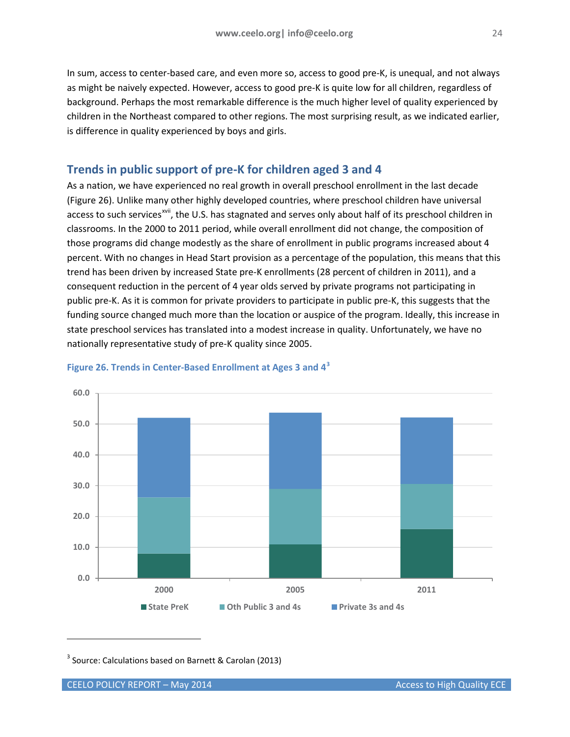In sum, access to center-based care, and even more so, access to good pre-K, is unequal, and not always as might be naively expected. However, access to good pre-K is quite low for all children, regardless of background. Perhaps the most remarkable difference is the much higher level of quality experienced by children in the Northeast compared to other regions. The most surprising result, as we indicated earlier, is difference in quality experienced by boys and girls.

# <span id="page-23-0"></span>**Trends in public support of pre-K for children aged 3 and 4**

As a nation, we have experienced no real growth in overall preschool enrollment in the last decade (Figure 26). Unlike many other highly developed countries, where preschool children have universal access to such services<sup>[xvii](#page-27-17)</sup>, the U.S. has stagnated and serves only about half of its preschool children in classrooms. In the 2000 to 2011 period, while overall enrollment did not change, the composition of those programs did change modestly as the share of enrollment in public programs increased about 4 percent. With no changes in Head Start provision as a percentage of the population, this means that this trend has been driven by increased State pre-K enrollments (28 percent of children in 2011), and a consequent reduction in the percent of 4 year olds served by private programs not participating in public pre-K. As it is common for private providers to participate in public pre-K, this suggests that the funding source changed much more than the location or auspice of the program. Ideally, this increase in state preschool services has translated into a modest increase in quality. Unfortunately, we have no nationally representative study of pre-K quality since 2005.



## <span id="page-23-1"></span>**Figure 26. Trends in Center-Based Enrollment at Ages 3 and 4[3](#page-23-2)**

<span id="page-23-2"></span><sup>3</sup> Source: Calculations based on Barnett & Carolan (2013)

j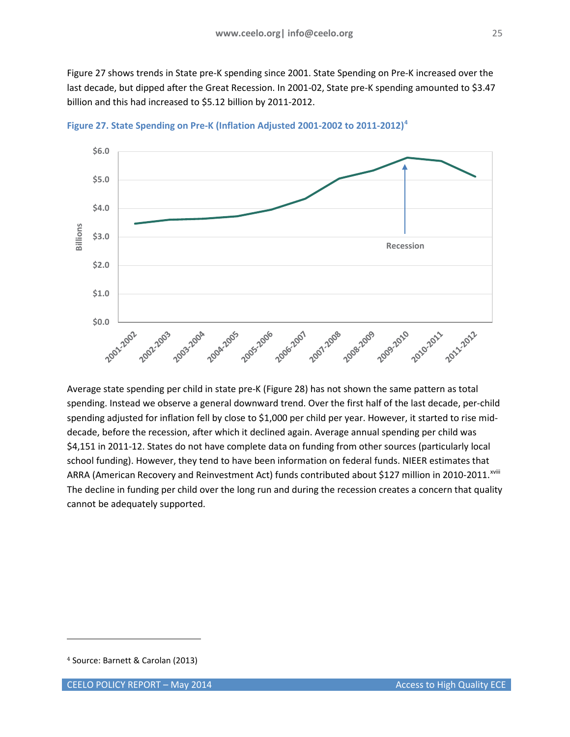Figure 27 shows trends in State pre-K spending since 2001. State Spending on Pre-K increased over the last decade, but dipped after the Great Recession. In 2001-02, State pre-K spending amounted to \$3.47 billion and this had increased to \$5.12 billion by 2011-2012.



<span id="page-24-0"></span>**Figure 27. State Spending on Pre-K (Inflation Adjusted 2001-2002 to 2011-2012)[4](#page-24-1)**

Average state spending per child in state pre-K (Figure 28) has not shown the same pattern as total spending. Instead we observe a general downward trend. Over the first half of the last decade, per-child spending adjusted for inflation fell by close to \$1,000 per child per year. However, it started to rise middecade, before the recession, after which it declined again. Average annual spending per child was \$4,151 in 2011-12. States do not have complete data on funding from other sources (particularly local school funding). However, they tend to have been information on federal funds. NIEER estimates that ARRA (American Recovery and Reinvestment Act) funds contributed about \$127 million in 2010-2011.<sup>xviii</sup> The decline in funding per child over the long run and during the recession creates a concern that quality cannot be adequately supported.

j

<span id="page-24-1"></span><sup>4</sup> Source: Barnett & Carolan (2013)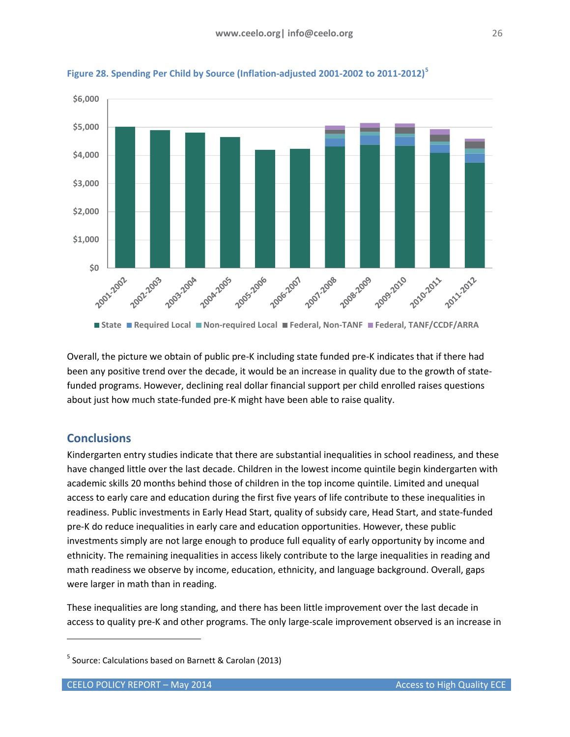

<span id="page-25-1"></span>

Overall, the picture we obtain of public pre-K including state funded pre-K indicates that if there had been any positive trend over the decade, it would be an increase in quality due to the growth of statefunded programs. However, declining real dollar financial support per child enrolled raises questions about just how much state-funded pre-K might have been able to raise quality.

# <span id="page-25-0"></span>**Conclusions**

j

Kindergarten entry studies indicate that there are substantial inequalities in school readiness, and these have changed little over the last decade. Children in the lowest income quintile begin kindergarten with academic skills 20 months behind those of children in the top income quintile. Limited and unequal access to early care and education during the first five years of life contribute to these inequalities in readiness. Public investments in Early Head Start, quality of subsidy care, Head Start, and state-funded pre-K do reduce inequalities in early care and education opportunities. However, these public investments simply are not large enough to produce full equality of early opportunity by income and ethnicity. The remaining inequalities in access likely contribute to the large inequalities in reading and math readiness we observe by income, education, ethnicity, and language background. Overall, gaps were larger in math than in reading.

These inequalities are long standing, and there has been little improvement over the last decade in access to quality pre-K and other programs. The only large-scale improvement observed is an increase in

<span id="page-25-2"></span><sup>5</sup> Source: Calculations based on Barnett & Carolan (2013)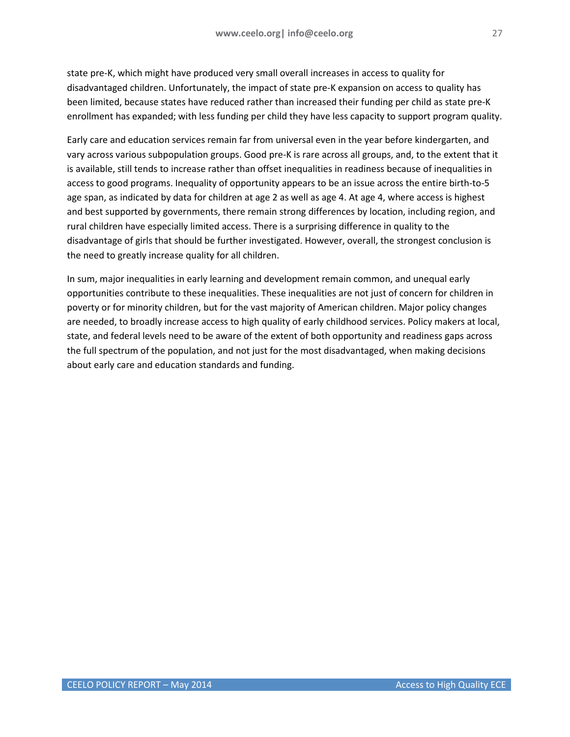state pre-K, which might have produced very small overall increases in access to quality for disadvantaged children. Unfortunately, the impact of state pre-K expansion on access to quality has been limited, because states have reduced rather than increased their funding per child as state pre-K enrollment has expanded; with less funding per child they have less capacity to support program quality.

Early care and education services remain far from universal even in the year before kindergarten, and vary across various subpopulation groups. Good pre-K is rare across all groups, and, to the extent that it is available, still tends to increase rather than offset inequalities in readiness because of inequalities in access to good programs. Inequality of opportunity appears to be an issue across the entire birth-to-5 age span, as indicated by data for children at age 2 as well as age 4. At age 4, where access is highest and best supported by governments, there remain strong differences by location, including region, and rural children have especially limited access. There is a surprising difference in quality to the disadvantage of girls that should be further investigated. However, overall, the strongest conclusion is the need to greatly increase quality for all children.

In sum, major inequalities in early learning and development remain common, and unequal early opportunities contribute to these inequalities. These inequalities are not just of concern for children in poverty or for minority children, but for the vast majority of American children. Major policy changes are needed, to broadly increase access to high quality of early childhood services. Policy makers at local, state, and federal levels need to be aware of the extent of both opportunity and readiness gaps across the full spectrum of the population, and not just for the most disadvantaged, when making decisions about early care and education standards and funding.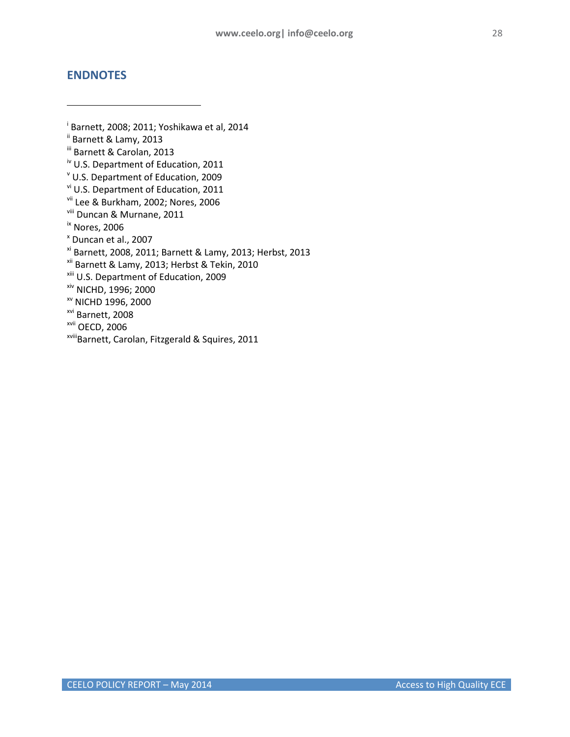## <span id="page-27-0"></span>**ENDNOTES**

j

<span id="page-27-17"></span><span id="page-27-16"></span><span id="page-27-15"></span><span id="page-27-14"></span><span id="page-27-13"></span><span id="page-27-12"></span><span id="page-27-11"></span><span id="page-27-10"></span><span id="page-27-9"></span><span id="page-27-8"></span><span id="page-27-7"></span><span id="page-27-6"></span><span id="page-27-5"></span><span id="page-27-4"></span><span id="page-27-3"></span><span id="page-27-2"></span><span id="page-27-1"></span>i Barnett, 2008; 2011; Yoshikawa et al, 2014 ii Barnett & Lamy, 2013 iii Barnett & Carolan, 2013 iv U.S. Department of Education, 2011 <sup>v</sup> U.S. Department of Education, 2009 vi U.S. Department of Education, 2011 vii Lee & Burkham, 2002; Nores, 2006 viii Duncan & Murnane, 2011 ix Nores, 2006 <sup>x</sup> Duncan et al., 2007 xi Barnett, 2008, 2011; Barnett & Lamy, 2013; Herbst, 2013 xii Barnett & Lamy, 2013; Herbst & Tekin, 2010 xiii U.S. Department of Education, 2009 xiv NICHD, 1996; 2000 xv NICHD 1996, 2000 xvi Barnett, 2008 xvii OECD, 2006 xviiiBarnett, Carolan, Fitzgerald & Squires, 2011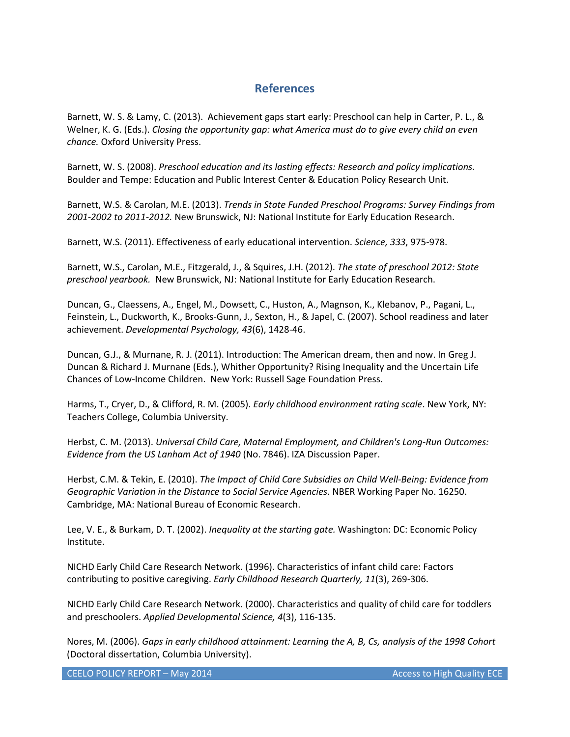# **References**

<span id="page-28-0"></span>Barnett, W. S. & Lamy, C. (2013). Achievement gaps start early: Preschool can help in Carter, P. L., & Welner, K. G. (Eds.). *Closing the opportunity gap: what America must do to give every child an even chance.* Oxford University Press.

Barnett, W. S. (2008). *Preschool education and its lasting effects: Research and policy implications.* Boulder and Tempe: Education and Public Interest Center & Education Policy Research Unit.

Barnett, W.S. & Carolan, M.E. (2013). *Trends in State Funded Preschool Programs: Survey Findings from 2001-2002 to 2011-2012.* New Brunswick, NJ: National Institute for Early Education Research.

Barnett, W.S. (2011). Effectiveness of early educational intervention. *Science, 333*, 975-978.

Barnett, W.S., Carolan, M.E., Fitzgerald, J., & Squires, J.H. (2012). *The state of preschool 2012: State preschool yearbook.* New Brunswick, NJ: National Institute for Early Education Research.

Duncan, G., Claessens, A., Engel, M., Dowsett, C., Huston, A., Magnson, K., Klebanov, P., Pagani, L., Feinstein, L., Duckworth, K., Brooks-Gunn, J., Sexton, H., & Japel, C. (2007). School readiness and later achievement. *Developmental Psychology, 43*(6), 1428-46.

Duncan, G.J., & Murnane, R. J. (2011). Introduction: The American dream, then and now. In Greg J. Duncan & Richard J. Murnane (Eds.), Whither Opportunity? Rising Inequality and the Uncertain Life Chances of Low-Income Children. New York: Russell Sage Foundation Press.

Harms, T., Cryer, D., & Clifford, R. M. (2005). *Early childhood environment rating scale*. New York, NY: Teachers College, Columbia University.

Herbst, C. M. (2013). *Universal Child Care, Maternal Employment, and Children's Long-Run Outcomes: Evidence from the US Lanham Act of 1940* (No. 7846). IZA Discussion Paper.

Herbst, C.M. & Tekin, E. (2010). *The Impact of Child Care Subsidies on Child Well-Being: Evidence from Geographic Variation in the Distance to Social Service Agencies*. NBER Working Paper No. 16250. Cambridge, MA: National Bureau of Economic Research.

Lee, V. E., & Burkam, D. T. (2002). *Inequality at the starting gate.* Washington: DC: Economic Policy Institute.

NICHD Early Child Care Research Network. (1996). Characteristics of infant child care: Factors contributing to positive caregiving. *Early Childhood Research Quarterly, 11*(3), 269-306.

NICHD Early Child Care Research Network. (2000). Characteristics and quality of child care for toddlers and preschoolers. *Applied Developmental Science, 4*(3), 116-135.

Nores, M. (2006). *Gaps in early childhood attainment: Learning the A, B, Cs, analysis of the 1998 Cohort*  (Doctoral dissertation, Columbia University).